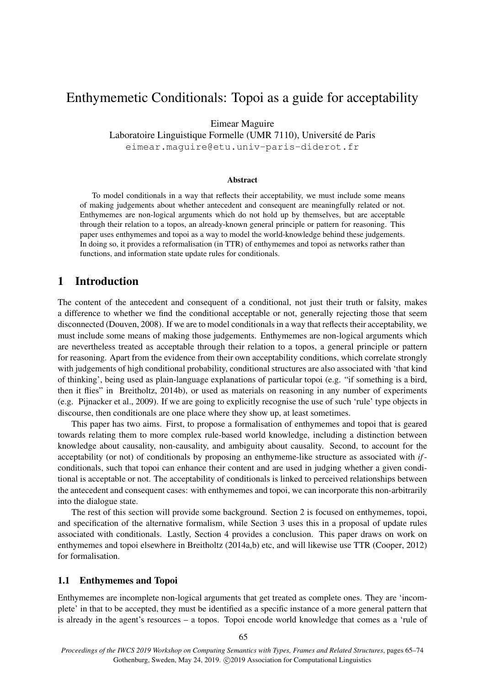# Enthymemetic Conditionals: Topoi as a guide for acceptability

Eimear Maguire

Laboratoire Linguistique Formelle (UMR 7110), Université de Paris eimear.maguire@etu.univ-paris-diderot.fr

#### **Abstract**

To model conditionals in a way that reflects their acceptability, we must include some means of making judgements about whether antecedent and consequent are meaningfully related or not. Enthymemes are non-logical arguments which do not hold up by themselves, but are acceptable through their relation to a topos, an already-known general principle or pattern for reasoning. This paper uses enthymemes and topoi as a way to model the world-knowledge behind these judgements. In doing so, it provides a reformalisation (in TTR) of enthymemes and topoi as networks rather than functions, and information state update rules for conditionals.

# 1 Introduction

The content of the antecedent and consequent of a conditional, not just their truth or falsity, makes a difference to whether we find the conditional acceptable or not, generally rejecting those that seem disconnected (Douven, 2008). If we are to model conditionals in a way that reflects their acceptability, we must include some means of making those judgements. Enthymemes are non-logical arguments which are nevertheless treated as acceptable through their relation to a topos, a general principle or pattern for reasoning. Apart from the evidence from their own acceptability conditions, which correlate strongly with judgements of high conditional probability, conditional structures are also associated with 'that kind of thinking', being used as plain-language explanations of particular topoi (e.g. "if something is a bird, then it flies" in Breitholtz, 2014b), or used as materials on reasoning in any number of experiments (e.g. Pijnacker et al., 2009). If we are going to explicitly recognise the use of such 'rule' type objects in discourse, then conditionals are one place where they show up, at least sometimes.

This paper has two aims. First, to propose a formalisation of enthymemes and topoi that is geared towards relating them to more complex rule-based world knowledge, including a distinction between knowledge about causality, non-causality, and ambiguity about causality. Second, to account for the acceptability (or not) of conditionals by proposing an enthymeme-like structure as associated with *if*conditionals, such that topoi can enhance their content and are used in judging whether a given conditional is acceptable or not. The acceptability of conditionals is linked to perceived relationships between the antecedent and consequent cases: with enthymemes and topoi, we can incorporate this non-arbitrarily into the dialogue state.

The rest of this section will provide some background. Section 2 is focused on enthymemes, topoi, and specification of the alternative formalism, while Section 3 uses this in a proposal of update rules associated with conditionals. Lastly, Section 4 provides a conclusion. This paper draws on work on enthymemes and topoi elsewhere in Breitholtz (2014a,b) etc, and will likewise use TTR (Cooper, 2012) for formalisation.

## 1.1 Enthymemes and Topoi

Enthymemes are incomplete non-logical arguments that get treated as complete ones. They are 'incomplete' in that to be accepted, they must be identified as a specific instance of a more general pattern that is already in the agent's resources – a topos. Topoi encode world knowledge that comes as a 'rule of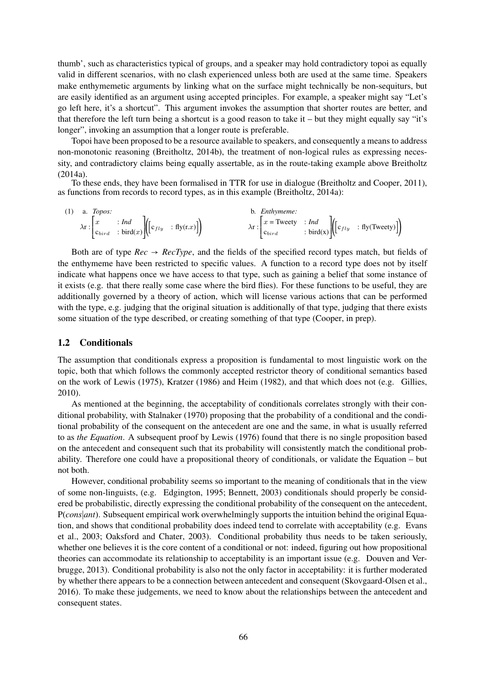thumb', such as characteristics typical of groups, and a speaker may hold contradictory topoi as equally valid in different scenarios, with no clash experienced unless both are used at the same time. Speakers make enthymemetic arguments by linking what on the surface might technically be non-sequiturs, but are easily identified as an argument using accepted principles. For example, a speaker might say "Let's go left here, it's a shortcut". This argument invokes the assumption that shorter routes are better, and that therefore the left turn being a shortcut is a good reason to take it – but they might equally say "it's longer", invoking an assumption that a longer route is preferable.

Topoi have been proposed to be a resource available to speakers, and consequently a means to address non-monotonic reasoning (Breitholtz, 2014b), the treatment of non-logical rules as expressing necessity, and contradictory claims being equally assertable, as in the route-taking example above Breitholtz (2014a).

To these ends, they have been formalised in TTR for use in dialogue (Breitholtz and Cooper, 2011), as functions from records to record types, as in this example (Breitholtz, 2014a):

(1) a. *Topos:*  
\n
$$
\lambda \mathbf{r} : \begin{bmatrix} x \\ c_{bird} \end{bmatrix} \mathbf{r} \cdot \mathbf{r} \cdot \mathbf{r} \cdot \mathbf{r} \cdot \mathbf{r} \cdot \mathbf{r} \cdot \mathbf{r} \cdot \mathbf{r} \cdot \mathbf{r} \cdot \mathbf{r} \cdot \mathbf{r} \cdot \mathbf{r} \cdot \mathbf{r} \cdot \mathbf{r} \cdot \mathbf{r} \cdot \mathbf{r} \cdot \mathbf{r} \cdot \mathbf{r} \cdot \mathbf{r} \cdot \mathbf{r} \cdot \mathbf{r} \cdot \mathbf{r} \cdot \mathbf{r} \cdot \mathbf{r} \cdot \mathbf{r} \cdot \mathbf{r} \cdot \mathbf{r} \cdot \mathbf{r} \cdot \mathbf{r} \cdot \mathbf{r} \cdot \mathbf{r} \cdot \mathbf{r} \cdot \mathbf{r} \cdot \mathbf{r} \cdot \mathbf{r} \cdot \mathbf{r} \cdot \mathbf{r} \cdot \mathbf{r} \cdot \mathbf{r} \cdot \mathbf{r} \cdot \mathbf{r} \cdot \mathbf{r} \cdot \mathbf{r} \cdot \mathbf{r} \cdot \mathbf{r} \cdot \mathbf{r} \cdot \mathbf{r} \cdot \mathbf{r} \cdot \mathbf{r} \cdot \mathbf{r} \cdot \mathbf{r} \cdot \mathbf{r} \cdot \mathbf{r} \cdot \mathbf{r} \cdot \mathbf{r} \cdot \mathbf{r} \cdot \mathbf{r} \cdot \mathbf{r} \cdot \mathbf{r} \cdot \mathbf{r} \cdot \mathbf{r} \cdot \mathbf{r} \cdot \mathbf{r} \cdot \mathbf{r} \cdot \mathbf{r} \cdot \mathbf{r} \cdot \mathbf{r} \cdot \mathbf{r} \cdot \mathbf{r} \cdot \mathbf{r} \cdot \mathbf{r} \cdot \mathbf{r} \cdot \mathbf{r} \cdot \mathbf{r} \cdot \mathbf{r} \cdot \mathbf{r} \cdot \mathbf{r} \cdot \mathbf{r} \cdot \mathbf{r} \cdot \mathbf{r} \cdot \mathbf{r} \cdot \mathbf{r} \cdot \mathbf{r} \cdot \mathbf{r} \cdot \mathbf{r} \cdot \mathbf{r} \cdot \mathbf{r} \cdot \mathbf{r} \cdot \mathbf{r} \cdot \mathbf{r} \cdot
$$

Both are of type  $Rec \rightarrow RecType$ , and the fields of the specified record types match, but fields of the enthymeme have been restricted to specific values. A function to a record type does not by itself indicate what happens once we have access to that type, such as gaining a belief that some instance of it exists (e.g. that there really some case where the bird flies). For these functions to be useful, they are additionally governed by a theory of action, which will license various actions that can be performed with the type, e.g. judging that the original situation is additionally of that type, judging that there exists some situation of the type described, or creating something of that type (Cooper, in prep).

## 1.2 Conditionals

The assumption that conditionals express a proposition is fundamental to most linguistic work on the topic, both that which follows the commonly accepted restrictor theory of conditional semantics based on the work of Lewis (1975), Kratzer (1986) and Heim (1982), and that which does not (e.g. Gillies, 2010).

As mentioned at the beginning, the acceptability of conditionals correlates strongly with their conditional probability, with Stalnaker (1970) proposing that the probability of a conditional and the conditional probability of the consequent on the antecedent are one and the same, in what is usually referred to as *the Equation*. A subsequent proof by Lewis (1976) found that there is no single proposition based on the antecedent and consequent such that its probability will consistently match the conditional probability. Therefore one could have a propositional theory of conditionals, or validate the Equation – but not both.

However, conditional probability seems so important to the meaning of conditionals that in the view of some non-linguists, (e.g. Edgington, 1995; Bennett, 2003) conditionals should properly be considered be probabilistic, directly expressing the conditional probability of the consequent on the antecedent, P(*cons*∣*ant*). Subsequent empirical work overwhelmingly supports the intuition behind the original Equation, and shows that conditional probability does indeed tend to correlate with acceptability (e.g. Evans et al., 2003; Oaksford and Chater, 2003). Conditional probability thus needs to be taken seriously, whether one believes it is the core content of a conditional or not: indeed, figuring out how propositional theories can accommodate its relationship to acceptability is an important issue (e.g. Douven and Verbrugge, 2013). Conditional probability is also not the only factor in acceptability: it is further moderated by whether there appears to be a connection between antecedent and consequent (Skovgaard-Olsen et al., 2016). To make these judgements, we need to know about the relationships between the antecedent and consequent states.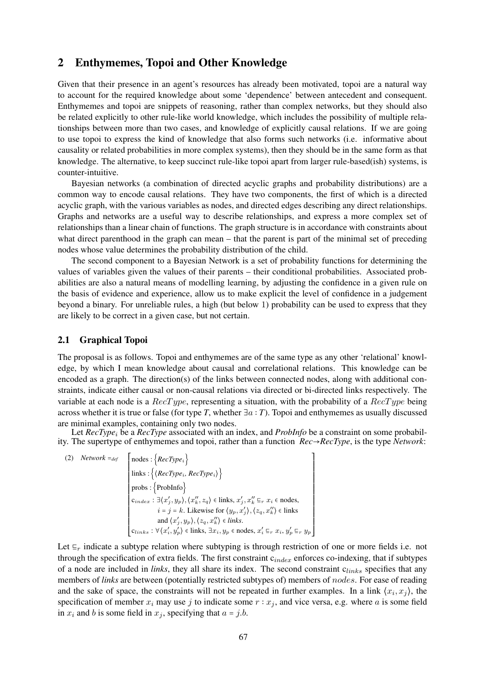# 2 Enthymemes, Topoi and Other Knowledge

Given that their presence in an agent's resources has already been motivated, topoi are a natural way to account for the required knowledge about some 'dependence' between antecedent and consequent. Enthymemes and topoi are snippets of reasoning, rather than complex networks, but they should also be related explicitly to other rule-like world knowledge, which includes the possibility of multiple relationships between more than two cases, and knowledge of explicitly causal relations. If we are going to use topoi to express the kind of knowledge that also forms such networks (i.e. informative about causality or related probabilities in more complex systems), then they should be in the same form as that knowledge. The alternative, to keep succinct rule-like topoi apart from larger rule-based(ish) systems, is counter-intuitive.

Bayesian networks (a combination of directed acyclic graphs and probability distributions) are a common way to encode causal relations. They have two components, the first of which is a directed acyclic graph, with the various variables as nodes, and directed edges describing any direct relationships. Graphs and networks are a useful way to describe relationships, and express a more complex set of relationships than a linear chain of functions. The graph structure is in accordance with constraints about what direct parenthood in the graph can mean – that the parent is part of the minimal set of preceding nodes whose value determines the probability distribution of the child.

The second component to a Bayesian Network is a set of probability functions for determining the values of variables given the values of their parents – their conditional probabilities. Associated probabilities are also a natural means of modelling learning, by adjusting the confidence in a given rule on the basis of evidence and experience, allow us to make explicit the level of confidence in a judgement beyond a binary. For unreliable rules, a high (but below 1) probability can be used to express that they are likely to be correct in a given case, but not certain.

# 2.1 Graphical Topoi

The proposal is as follows. Topoi and enthymemes are of the same type as any other 'relational' knowledge, by which I mean knowledge about causal and correlational relations. This knowledge can be encoded as a graph. The direction(s) of the links between connected nodes, along with additional constraints, indicate either causal or non-causal relations via directed or bi-directed links respectively. The variable at each node is a  $RecType$ , representing a situation, with the probability of a  $RecType$  being across whether it is true or false (for type *T*, whether ∃a ∶ *T*). Topoi and enthymemes as usually discussed are minimal examples, containing only two nodes.

Let *RecType<sub>i</sub>* be a *RecType* associated with an index, and *ProbInfo* be a constraint on some probability. The supertype of enthymemes and topoi, rather than a function *Rec*→*RecType*, is the type *Network*:

(2) *Network* =  $_{def}$   $\left[$  nodes : {*RecType<sub>i</sub>*} ⎢ ⎢ ⎢ ⎢ ⎢ ⎢ ⎢ ⎢ ⎢ ⎢ ⎢ ⎢ ⎢ ⎢ ⎢ ⎢ ⎢ ⎢ ⎢ ⎣ links : {⟨*RecType*i*, RecType*i⟩} probs : {ProbInfo}  $c_{index}: \exists \langle x'_j, y_p \rangle, \langle x''_k, z_q \rangle \in \text{links}, x'_j, x''_k \sqsubseteq_r x_i \in \text{nodes},$  $i = j = k$ . Likewise for  $\langle y_p, x'_j \rangle, \langle z_q, x''_k \rangle \in$  links and  $\langle x'_j, y_p \rangle, \langle z_q, x''_k \rangle \in$  *links*.  $c_{links}$  :  $\forall \langle x'_i, y'_p \rangle \in \text{links}, \exists x_i, y_p \in \text{nodes}, x'_i \sqsubseteq_r x_i, y'_p \sqsubseteq_r y_p$ ⎤ ▎▁▁▁▁▁▁▁▁▁▁▁▁▁▁▁▁▁▁▁▁▁▁▁▁▁▁▁▁▁▁▁▁

Let  $\Xi_r$  indicate a subtype relation where subtyping is through restriction of one or more fields i.e. not through the specification of extra fields. The first constraint  $c_{index}$  enforces co-indexing, that if subtypes of a node are included in *links*, they all share its index. The second constraint  $c_{links}$  specifies that any members of *links* are between (potentially restricted subtypes of) members of nodes. For ease of reading and the sake of space, the constraints will not be repeated in further examples. In a link  $\langle x_i, x_j \rangle$ , the specification of member  $x_i$  may use j to indicate some  $r : x_i$ , and vice versa, e.g. where a is some field in  $x_i$  and b is some field in  $x_j$ , specifying that  $a = j.b$ .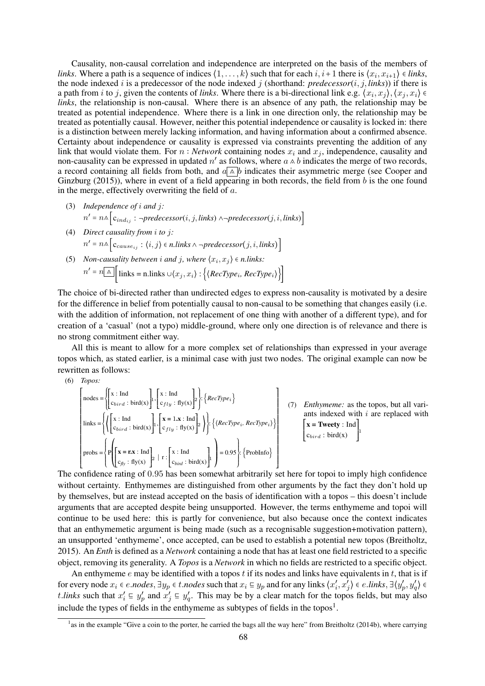Causality, non-causal correlation and independence are interpreted on the basis of the members of *links*. Where a path is a sequence of indices  $\langle 1, \ldots, k \rangle$  such that for each  $i, i+1$  there is  $\langle x_i, x_{i+1} \rangle \in$  *links*, the node indexed i is a predecessor of the node indexed j (shorthand:  $predecessor(i, j, links)$ ) if there is a path from *i* to *j*, given the contents of *links*. Where there is a bi-directional link e.g.  $\langle x_i, x_j \rangle, \langle x_j, x_i \rangle \in$ *links*, the relationship is non-causal. Where there is an absence of any path, the relationship may be treated as potential independence. Where there is a link in one direction only, the relationship may be treated as potentially causal. However, neither this potential independence or causality is locked in: there is a distinction between merely lacking information, and having information about a confirmed absence. Certainty about independence or causality is expressed via constraints preventing the addition of any link that would violate them. For  $n : Network$  containing nodes  $x_i$  and  $x_j$ , independence, causality and non-causality can be expressed in updated n' as follows, where  $a \wedge b$  indicates the merge of two records, a record containing all fields from both, and  $a \wedge b$  indicates their asymmetric merge (see Cooper and Ginzburg (2015)), where in event of a field appearing in both records, the field from  $b$  is the one found in the merge, effectively overwriting the field of  $a$ .

- (3) *Independence of* i *and* j*:*  $n' = n$ ∆ $|c_{ind_{ij}}: \neg predecessor(i, j, links) \land \neg predecessor(j, i, links)|$
- (4) *Direct causality from* i *to* j*:*  $n' = n$ ∆  $|c_{cause_{ij}}$ :  $\langle i, j \rangle$  ∈ *n.links* ∧ ¬predecessor $(j, i, links)$
- (5) *Non-causality between i and j, where*  $\langle x_i, x_j \rangle \in$  *n.links:*  $n' = n$  ∧ | links = n.links ∪ $\langle x_j, x_i \rangle$  : { $\langle$ *RecType<sub>i</sub>, RecType<sub>i</sub>*}}

The choice of bi-directed rather than undirected edges to express non-causality is motivated by a desire for the difference in belief from potentially causal to non-causal to be something that changes easily (i.e. with the addition of information, not replacement of one thing with another of a different type), and for creation of a 'casual' (not a typo) middle-ground, where only one direction is of relevance and there is no strong commitment either way.

All this is meant to allow for a more complex set of relationships than expressed in your average topos which, as stated earlier, is a minimal case with just two nodes. The original example can now be rewritten as follows:

(6) *Topos:*

$$
\begin{bmatrix}\n\text{nodes} = \left\{ \begin{bmatrix}\nx : \text{Ind} \\
\text{C}_{bird} : \text{bird}(x)\end{bmatrix}, \begin{bmatrix}\nx : \text{Ind} \\
\text{C}_{fly} : \text{fly}(x)\end{bmatrix} \right\} \right\} \left\{ \text{RecType}_i \right\} \\
\text{links} = \left\{ \left\{ \begin{bmatrix}\nx : \text{Ind} \\
\text{C}_{bird} : \text{bird}(x)\end{bmatrix}, \begin{bmatrix}\nx = 1.x : \text{Ind} \\
\text{C}_{fly} : \text{fly}(x)\end{bmatrix} \right\} \right\} \right\} \left\{ \left\{ \text{RecType}_i, \text{RecType}_i \right\} \right\} \\
\text{prob} = \left\{ \left\{ \begin{bmatrix}\nx = \text{rx} : \text{Ind} \\
\text{C}_{bird} : \text{bird}(x)\end{bmatrix}, \begin{bmatrix}\nx = 1.x : \text{Ind} \\
\text{C}_{fly} : \text{fly}(x)\end{bmatrix} \right\} \right\} \right\} = 0.95 \left\} \left\{ \text{Probability} \right\}
$$
\n
$$
\left\{ \text{Probability} \right\} \right]
$$
\n
$$
\text{Prob} = \left\{ \left\{ \begin{bmatrix}\n\text{rx} = \text{rx} : \text{Ind} \\
\text{C}_{fly} : \text{fly}(x)\end{bmatrix} \right\} \right\} \left\{ \begin{bmatrix}\n\text{rx} : \text{Ind} \\
\text{C}_{bird} : \text{bird}(x)\end{bmatrix} \right\}
$$

The confidence rating of 0.95 has been somewhat arbitrarily set here for topoi to imply high confidence without certainty. Enthymemes are distinguished from other arguments by the fact they don't hold up by themselves, but are instead accepted on the basis of identification with a topos – this doesn't include arguments that are accepted despite being unsupported. However, the terms enthymeme and topoi will continue to be used here: this is partly for convenience, but also because once the context indicates that an enthymemetic argument is being made (such as a recognisable suggestion+motivation pattern), an unsupported 'enthymeme', once accepted, can be used to establish a potential new topos (Breitholtz, 2015). An *Enth* is defined as a *Network* containing a node that has at least one field restricted to a specific object, removing its generality. A *Topos* is a *Network* in which no fields are restricted to a specific object.

An enthymeme  $e$  may be identified with a topos  $t$  if its nodes and links have equivalents in  $t$ , that is if for every node  $x_i \in e$ .*nodes*,  $\exists y_p \in t$ .*nodes* such that  $x_i \subseteq y_p$  and for any links  $\langle x'_i, x'_j \rangle \in e$ .*links*,  $\exists \langle y'_p, y'_q \rangle \in e$ t.*links* such that  $x'_i \text{ }\in y'_p$  and  $x'_j \text{ }\in y'_q$ . This may be by a clear match for the topos fields, but may also include the types of fields in the enthymeme as subtypes of fields in the topos<sup>1</sup>.

<sup>&</sup>lt;sup>1</sup> as in the example "Give a coin to the porter, he carried the bags all the way here" from Breitholtz (2014b), where carrying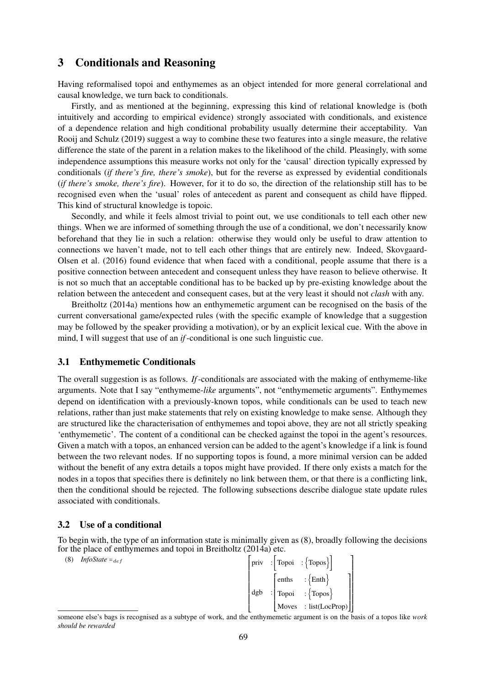# 3 Conditionals and Reasoning

Having reformalised topoi and enthymemes as an object intended for more general correlational and causal knowledge, we turn back to conditionals.

Firstly, and as mentioned at the beginning, expressing this kind of relational knowledge is (both intuitively and according to empirical evidence) strongly associated with conditionals, and existence of a dependence relation and high conditional probability usually determine their acceptability. Van Rooij and Schulz (2019) suggest a way to combine these two features into a single measure, the relative difference the state of the parent in a relation makes to the likelihood of the child. Pleasingly, with some independence assumptions this measure works not only for the 'causal' direction typically expressed by conditionals (*if there's fire, there's smoke*), but for the reverse as expressed by evidential conditionals (*if there's smoke, there's fire*). However, for it to do so, the direction of the relationship still has to be recognised even when the 'usual' roles of antecedent as parent and consequent as child have flipped. This kind of structural knowledge is topoic.

Secondly, and while it feels almost trivial to point out, we use conditionals to tell each other new things. When we are informed of something through the use of a conditional, we don't necessarily know beforehand that they lie in such a relation: otherwise they would only be useful to draw attention to connections we haven't made, not to tell each other things that are entirely new. Indeed, Skovgaard-Olsen et al. (2016) found evidence that when faced with a conditional, people assume that there is a positive connection between antecedent and consequent unless they have reason to believe otherwise. It is not so much that an acceptable conditional has to be backed up by pre-existing knowledge about the relation between the antecedent and consequent cases, but at the very least it should not *clash* with any.

Breitholtz (2014a) mentions how an enthymemetic argument can be recognised on the basis of the current conversational game/expected rules (with the specific example of knowledge that a suggestion may be followed by the speaker providing a motivation), or by an explicit lexical cue. With the above in mind, I will suggest that use of an *if*-conditional is one such linguistic cue.

# 3.1 Enthymemetic Conditionals

The overall suggestion is as follows. *If*-conditionals are associated with the making of enthymeme-like arguments. Note that I say "enthymeme-*like* arguments", not "enthymemetic arguments". Enthymemes depend on identification with a previously-known topos, while conditionals can be used to teach new relations, rather than just make statements that rely on existing knowledge to make sense. Although they are structured like the characterisation of enthymemes and topoi above, they are not all strictly speaking 'enthymemetic'. The content of a conditional can be checked against the topoi in the agent's resources. Given a match with a topos, an enhanced version can be added to the agent's knowledge if a link is found between the two relevant nodes. If no supporting topos is found, a more minimal version can be added without the benefit of any extra details a topos might have provided. If there only exists a match for the nodes in a topos that specifies there is definitely no link between them, or that there is a conflicting link, then the conditional should be rejected. The following subsections describe dialogue state update rules associated with conditionals.

### 3.2 Use of a conditional

To begin with, the type of an information state is minimally given as (8), broadly following the decisions for the place of enthymemes and topoi in Breitholtz (2014a) etc.

| (8) | <i>InfoState</i> $=_{def}$ |  |
|-----|----------------------------|--|
|-----|----------------------------|--|

| (8) | <i>InfoState</i> $=_{def}$ | $\vert \text{priv} \vert : \vert \text{Topoi} \vert : \vert \text{Topos} \vert \vert$                                                                              |  |
|-----|----------------------------|--------------------------------------------------------------------------------------------------------------------------------------------------------------------|--|
|     |                            | $\vert$ enths $\vert$ : {Enth}                                                                                                                                     |  |
|     |                            | $\begin{bmatrix} \text{Topoi} & \text{:} \left\{ \text{Topos} \right\} \\ \text{Moves} & \text{:} \left[ \text{list}(\text{LocProp}) \right] \end{bmatrix}$<br>dgb |  |
|     |                            |                                                                                                                                                                    |  |

<sup>⎣</sup> ⎦ someone else's bags is recognised as a subtype of work, and the enthymemetic argument is on the basis of a topos like *work should be rewarded*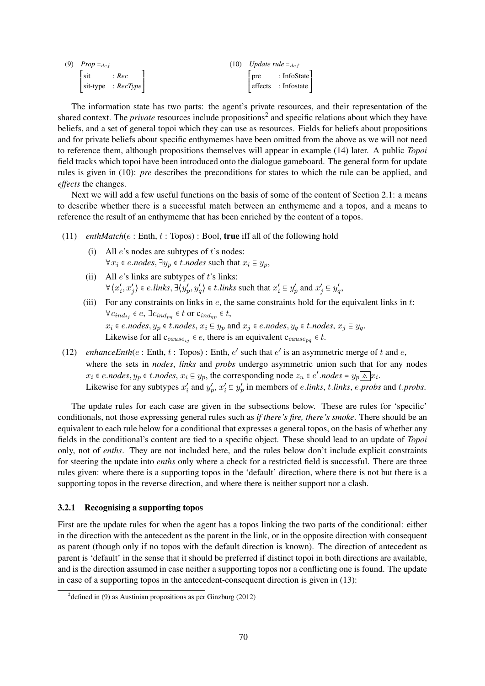| (9) $Prop =_{def}$ |                                              | $(10)$ Update rule $=_{def}$ |  |                                      |
|--------------------|----------------------------------------------|------------------------------|--|--------------------------------------|
|                    | $\left  \text{ sit } \right $ : $Rec$        |                              |  | $ pre$ : InfoState                   |
|                    | $\left  \text{ sit-type } : RecType \right $ |                              |  | $\left  \right.$ effects : Infostate |

The information state has two parts: the agent's private resources, and their representation of the shared context. The *private* resources include propositions<sup>2</sup> and specific relations about which they have beliefs, and a set of general topoi which they can use as resources. Fields for beliefs about propositions and for private beliefs about specific enthymemes have been omitted from the above as we will not need to reference them, although propositions themselves will appear in example (14) later. A public *Topoi* field tracks which topoi have been introduced onto the dialogue gameboard. The general form for update rules is given in (10): *pre* describes the preconditions for states to which the rule can be applied, and *effects* the changes.

Next we will add a few useful functions on the basis of some of the content of Section 2.1: a means to describe whether there is a successful match between an enthymeme and a topos, and a means to reference the result of an enthymeme that has been enriched by the content of a topos.

- (11) *enthMatch*(e : Enth, t : Topos) : Bool, true iff all of the following hold
	- (i) All  $e$ 's nodes are subtypes of  $t$ 's nodes:  $\forall x_i \in e \text{.nodes}, \exists y_p \in t \text{.nodes such that } x_i \subseteq y_p,$
	- (ii) All  $e$ 's links are subtypes of  $t$ 's links:  $\forall (x'_i, x'_j) \in e. links, \exists (y'_p, y'_q) \in t. links \text{ such that } x'_i \in y'_p \text{ and } x'_j \in y'_q,$
	- (iii) For any constraints on links in  $e$ , the same constraints hold for the equivalent links in  $t$ :  $\forall c_{ind_{ij}} \in e$ ,  $\exists c_{ind_{pq}} \in t$  or  $c_{ind_{qp}} \in t$ ,  $x_i$  ∈ *e.nodes*,  $y_p$  ∈ *t.nodes*,  $x_i \nsubseteq y_p$  and  $x_j$  ∈ *e.nodes*,  $y_q$  ∈ *t.nodes*,  $x_j \nsubseteq y_q$ . Likewise for all  $c_{cause_{ij}} \in e$ , there is an equivalent  $c_{cause_{no}} \in t$ .
- (12) *enhanceEnth*( $e$ : Enth,  $t$ : Topos): Enth,  $e'$  such that  $e'$  is an asymmetric merge of  $t$  and  $e$ , where the sets in *nodes*, *links* and *probs* undergo asymmetric union such that for any nodes  $x_i \in e \textit{.nodes}, y_p \in t \textit{.nodes}, x_i \subseteq y_p,$  the corresponding node  $z_u \in e' \textit{.nodes} = y_p \land |x_i|$ . Likewise for any subtypes  $x'_i$  and  $y'_p$ ,  $x'_i \text{ }\equiv y'_p$  in members of *e.links*, *t.links*, *e.probs* and *t.probs*.

The update rules for each case are given in the subsections below. These are rules for 'specific' conditionals, not those expressing general rules such as *if there's fire, there's smoke*. There should be an equivalent to each rule below for a conditional that expresses a general topos, on the basis of whether any fields in the conditional's content are tied to a specific object. These should lead to an update of *Topoi* only, not of *enths*. They are not included here, and the rules below don't include explicit constraints for steering the update into *enths* only where a check for a restricted field is successful. There are three rules given: where there is a supporting topos in the 'default' direction, where there is not but there is a supporting topos in the reverse direction, and where there is neither support nor a clash.

## 3.2.1 Recognising a supporting topos

First are the update rules for when the agent has a topos linking the two parts of the conditional: either in the direction with the antecedent as the parent in the link, or in the opposite direction with consequent as parent (though only if no topos with the default direction is known). The direction of antecedent as parent is 'default' in the sense that it should be preferred if distinct topoi in both directions are available, and is the direction assumed in case neither a supporting topos nor a conflicting one is found. The update in case of a supporting topos in the antecedent-consequent direction is given in (13):

 $2$  defined in (9) as Austinian propositions as per Ginzburg (2012)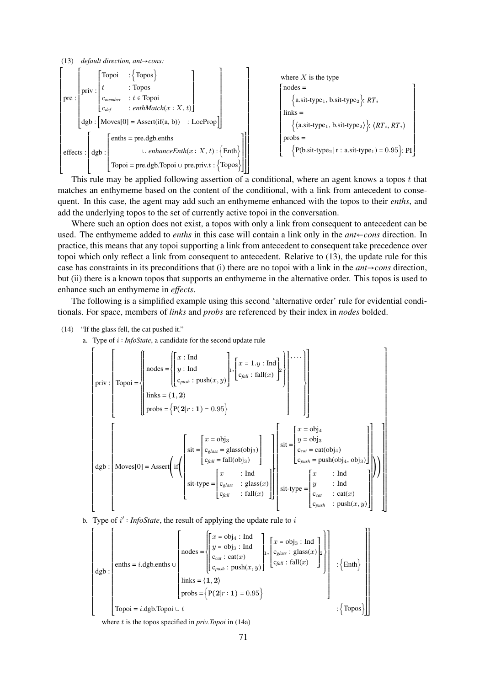

This rule may be applied following assertion of a conditional, where an agent knows a topos  $t$  that matches an enthymeme based on the content of the conditional, with a link from antecedent to consequent. In this case, the agent may add such an enthymeme enhanced with the topos to their *enths*, and add the underlying topos to the set of currently active topoi in the conversation.

Where such an option does not exist, a topos with only a link from consequent to antecedent can be used. The enthymeme added to *enths* in this case will contain a link only in the *ant*←*cons* direction. In practice, this means that any topoi supporting a link from antecedent to consequent take precedence over topoi which only reflect a link from consequent to antecedent. Relative to (13), the update rule for this case has constraints in its preconditions that (i) there are no topoi with a link in the *ant*→*cons* direction, but (ii) there is a known topos that supports an enthymeme in the alternative order. This topos is used to enhance such an enthymeme in *effects*.

The following is a simplified example using this second 'alternative order' rule for evidential conditionals. For space, members of *links* and *probs* are referenced by their index in *nodes* bolded.

(14) "If the glass fell, the cat pushed it."

a. Type of i ∶ *InfoState*, a candidate for the second update rule

$$
\begin{bmatrix}\n\text{priv: } \begin{bmatrix}\n\text{Topic} = \begin{bmatrix}\n\text{nodes} = \begin{bmatrix}\nx : \text{Ind} \\
y : \text{Ind} \\
\text{C}_{push} : \text{push}(x, y)\n\end{bmatrix}, \begin{bmatrix}\nx = 1.y : \text{Ind} \\
c_{fall} : \text{fall}(x)\n\end{bmatrix}\n\end{bmatrix}, \begin{bmatrix}\n\text{min: } \text{fall}(x) \\
\text{limits: } \begin{bmatrix}\n\text{prob: } \begin{bmatrix}\n\text{prob: } \begin{bmatrix}\n\text{prob: } \begin{bmatrix}\n\text{prob: } \begin{bmatrix}\n\text{prob: } \begin{bmatrix}\n\text{prob: } \begin{bmatrix}\n\text{prob: } \begin{bmatrix}\n\text{prob: } \begin{bmatrix}\n\text{prob: } \begin{bmatrix}\n\text{prob: } \begin{bmatrix}\n\text{prob: } \begin{bmatrix}\n\text{prob: } \end{bmatrix}\n\end{bmatrix}\n\end{bmatrix}\n\end{bmatrix}\n\end{bmatrix}\n\end{bmatrix}\n\end{bmatrix}\n\end{bmatrix}\n\end{bmatrix}\n\end{bmatrix}\n\end{bmatrix}\n\text{div } \begin{bmatrix}\n\text{prob: } \begin{bmatrix}\n\text{prob: } \begin{bmatrix}\n\text{prob: } \begin{bmatrix}\n\text{prob: } \begin{bmatrix}\n\text{e: } \begin{bmatrix}\n\text{e: } \begin{bmatrix}\n\text{e: } \begin{bmatrix}\n\text{e: } \begin{bmatrix}\n\text{e: } \begin{bmatrix}\n\text{e: } \begin{bmatrix}\n\text{e: } \begin{bmatrix}\n\text{e: } \begin{bmatrix}\n\text{e: } \begin{bmatrix}\n\text{e: } \begin{bmatrix}\n\text{e: } \begin{bmatrix}\n\text{e: } \begin{bmatrix}\n\text{e: } \begin{bmatrix}\n\text{e: } \begin{bmatrix}\n\text{e: } \begin{bmatrix}\n\text{e: } \begin{bmatrix}\n\text{e: } \begin{bmatrix}\n\text{e: } \begin{bmatrix}\n\text{e: } \begin{bmatrix}\n\text{e: } \begin{bmatrix}\n\text{e: } \begin{bmatrix}\n\text{e: } \begin{bmatrix}\n\text{e: } \begin{bmatrix}\n\text{e: } \begin
$$

b. Type of  $i'$ : *InfoState*, the result of applying the update rule to  $i$ 

$$
\begin{bmatrix}\n\downarrow\n\end{bmatrix}\n\text{enths} = i \cdot \text{dgb}.\text{enths} \cup\n\begin{bmatrix}\n\downarrow\n\end{bmatrix}\n\text{notes} =\n\begin{bmatrix}\nx = \text{obj}_4 : \text{Ind} \\
y = \text{obj}_3 : \text{Ind} \\
c_{cal} : \text{cat}(x) \\
c_{push} : \text{push}(x, y)\n\end{bmatrix}\n\cdot\n\begin{bmatrix}\nx = \text{obj}_3 : \text{Ind} \\
c_{glass} : \text{glass}(x) \\
c_{fall} : \text{fall}(x)\n\end{bmatrix}\n\begin{bmatrix}\nx = \text{obj}_3 : \text{Ind} \\
c_{glass} : \text{glass}(x)\n\end{bmatrix}\n\begin{bmatrix}\nx = \text{obj}_3 : \text{Ind} \\
c_{glass} : \text{glass}(x)\n\end{bmatrix}\n\begin{bmatrix}\n\downarrow\n\end{bmatrix}\n\cdot\n\begin{Bmatrix}\n\downarrow\n\end{Bmatrix}\n\cdot\n\begin{Bmatrix}\n\downarrow\n\end{Bmatrix}\n\cdot\n\begin{Bmatrix}\n\downarrow\n\end{Bmatrix}\n\cdot\n\begin{Bmatrix}\n\downarrow\n\end{Bmatrix}\n\cdot\n\begin{Bmatrix}\n\downarrow\n\end{Bmatrix}\n\cdot\n\begin{Bmatrix}\n\downarrow\n\end{Bmatrix}\n\cdot\n\begin{Bmatrix}\n\downarrow\n\end{Bmatrix}\n\cdot\n\begin{Bmatrix}\n\downarrow\n\end{Bmatrix}\n\cdot\n\begin{Bmatrix}\n\downarrow\n\end{Bmatrix}\n\cdot\n\begin{Bmatrix}\n\downarrow\n\end{Bmatrix}\n\cdot\n\begin{Bmatrix}\n\downarrow\n\end{Bmatrix}\n\cdot\n\begin{Bmatrix}\n\downarrow\n\end{Bmatrix}\n\cdot\n\begin{Bmatrix}\n\downarrow\n\end{Bmatrix}\n\cdot\n\begin{Bmatrix}\n\downarrow\n\end{Bmatrix}\n\cdot\n\begin{Bmatrix}\n\downarrow\n\end{Bmatrix}\n\cdot\n\begin{Bmatrix}\n\downarrow\n\end{Bmatrix}\n\cdot\n\begin{Bmatrix}\n\downarrow\n\end{Bmatrix}\n\cdot\n\begin{Bmatrix}\n\downarrow\n\end{Bmatrix}\n\cdot\n\begin{Bmatrix}\n\downarrow\n\end{Bmatrix}\n\cdot\n\begin{Bmatrix}\n\downarrow\n\end{Bmatrix}\n\cdot\n\begin{Bmatrix}\n\downarrow\n\end{Bmatrix}\n\cdot\n\begin{Bmatrix}\n\downarrow\n\end{Bmatrix}\
$$

where t is the topos specified in *priv.Topoi* in (14a)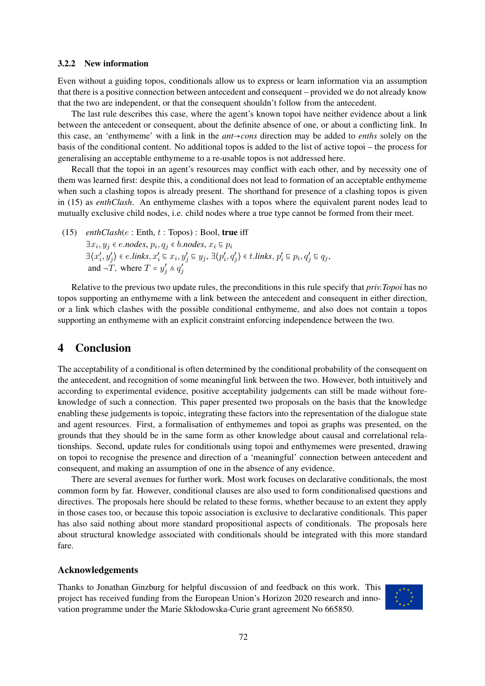### 3.2.2 New information

Even without a guiding topos, conditionals allow us to express or learn information via an assumption that there is a positive connection between antecedent and consequent – provided we do not already know that the two are independent, or that the consequent shouldn't follow from the antecedent.

The last rule describes this case, where the agent's known topoi have neither evidence about a link between the antecedent or consequent, about the definite absence of one, or about a conflicting link. In this case, an 'enthymeme' with a link in the *ant*→*cons* direction may be added to *enths* solely on the basis of the conditional content. No additional topos is added to the list of active topoi – the process for generalising an acceptable enthymeme to a re-usable topos is not addressed here.

Recall that the topoi in an agent's resources may conflict with each other, and by necessity one of them was learned first: despite this, a conditional does not lead to formation of an acceptable enthymeme when such a clashing topos is already present. The shorthand for presence of a clashing topos is given in (15) as *enthClash*. An enthymeme clashes with a topos where the equivalent parent nodes lead to mutually exclusive child nodes, i.e. child nodes where a true type cannot be formed from their meet.

(15)  $enthClash(e : Enth, t : Topos) : Bool, true if f$ 

 $\exists x_i, y_j \in e$ *.nodes*,  $p_i, q_j \in b$ *.nodes*,  $x_i \subseteq p_i$  $\exists \langle x'_i, y'_j \rangle \in e.\mathit{links}, x'_i \subseteq x_i, y'_j \subseteq y_j, \exists \langle p'_i, q'_j \rangle \in t.\mathit{links}, p'_i \subseteq p_i, q'_j \subseteq q_j,$ and  $\neg$ T, where  $T = y'_j \wedge q'_j$ 

Relative to the previous two update rules, the preconditions in this rule specify that *priv.Topoi* has no topos supporting an enthymeme with a link between the antecedent and consequent in either direction, or a link which clashes with the possible conditional enthymeme, and also does not contain a topos supporting an enthymeme with an explicit constraint enforcing independence between the two.

# 4 Conclusion

The acceptability of a conditional is often determined by the conditional probability of the consequent on the antecedent, and recognition of some meaningful link between the two. However, both intuitively and according to experimental evidence, positive acceptability judgements can still be made without foreknowledge of such a connection. This paper presented two proposals on the basis that the knowledge enabling these judgements is topoic, integrating these factors into the representation of the dialogue state and agent resources. First, a formalisation of enthymemes and topoi as graphs was presented, on the grounds that they should be in the same form as other knowledge about causal and correlational relationships. Second, update rules for conditionals using topoi and enthymemes were presented, drawing on topoi to recognise the presence and direction of a 'meaningful' connection between antecedent and consequent, and making an assumption of one in the absence of any evidence.

There are several avenues for further work. Most work focuses on declarative conditionals, the most common form by far. However, conditional clauses are also used to form conditionalised questions and directives. The proposals here should be related to these forms, whether because to an extent they apply in those cases too, or because this topoic association is exclusive to declarative conditionals. This paper has also said nothing about more standard propositional aspects of conditionals. The proposals here about structural knowledge associated with conditionals should be integrated with this more standard fare.

### Acknowledgements

Thanks to Jonathan Ginzburg for helpful discussion of and feedback on this work. This project has received funding from the European Union's Horizon 2020 research and innovation programme under the Marie Skłodowska-Curie grant agreement No 665850.

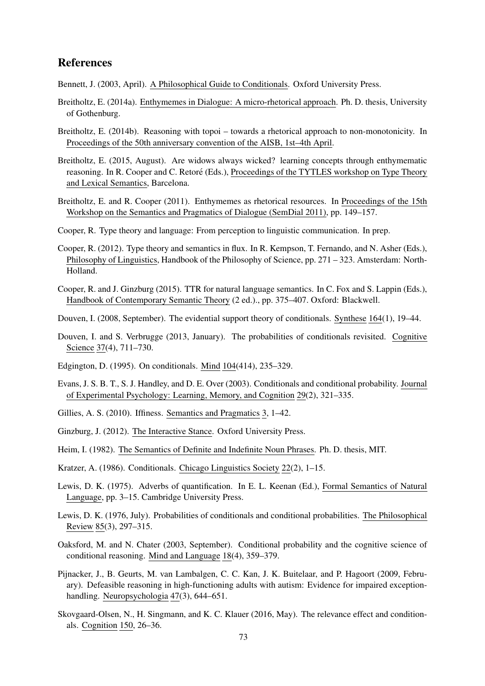# References

Bennett, J. (2003, April). A Philosophical Guide to Conditionals. Oxford University Press.

- Breitholtz, E. (2014a). Enthymemes in Dialogue: A micro-rhetorical approach. Ph. D. thesis, University of Gothenburg.
- Breitholtz, E. (2014b). Reasoning with topoi towards a rhetorical approach to non-monotonicity. In Proceedings of the 50th anniversary convention of the AISB, 1st–4th April.
- Breitholtz, E. (2015, August). Are widows always wicked? learning concepts through enthymematic reasoning. In R. Cooper and C. Retoré (Eds.), Proceedings of the TYTLES workshop on Type Theory and Lexical Semantics, Barcelona.
- Breitholtz, E. and R. Cooper (2011). Enthymemes as rhetorical resources. In Proceedings of the 15th Workshop on the Semantics and Pragmatics of Dialogue (SemDial 2011), pp. 149–157.
- Cooper, R. Type theory and language: From perception to linguistic communication. In prep.
- Cooper, R. (2012). Type theory and semantics in flux. In R. Kempson, T. Fernando, and N. Asher (Eds.), Philosophy of Linguistics, Handbook of the Philosophy of Science, pp. 271 – 323. Amsterdam: North-Holland.
- Cooper, R. and J. Ginzburg (2015). TTR for natural language semantics. In C. Fox and S. Lappin (Eds.), Handbook of Contemporary Semantic Theory (2 ed.)., pp. 375–407. Oxford: Blackwell.
- Douven, I. (2008, September). The evidential support theory of conditionals. Synthese 164(1), 19–44.
- Douven, I. and S. Verbrugge (2013, January). The probabilities of conditionals revisited. Cognitive Science 37(4), 711–730.
- Edgington, D. (1995). On conditionals. Mind 104(414), 235–329.
- Evans, J. S. B. T., S. J. Handley, and D. E. Over (2003). Conditionals and conditional probability. Journal of Experimental Psychology: Learning, Memory, and Cognition 29(2), 321–335.
- Gillies, A. S. (2010). Iffiness. Semantics and Pragmatics 3, 1–42.
- Ginzburg, J. (2012). The Interactive Stance. Oxford University Press.
- Heim, I. (1982). The Semantics of Definite and Indefinite Noun Phrases. Ph. D. thesis, MIT.
- Kratzer, A. (1986). Conditionals. Chicago Linguistics Society 22(2), 1–15.
- Lewis, D. K. (1975). Adverbs of quantification. In E. L. Keenan (Ed.), Formal Semantics of Natural Language, pp. 3–15. Cambridge University Press.
- Lewis, D. K. (1976, July). Probabilities of conditionals and conditional probabilities. The Philosophical Review 85(3), 297–315.
- Oaksford, M. and N. Chater (2003, September). Conditional probability and the cognitive science of conditional reasoning. Mind and Language 18(4), 359–379.
- Pijnacker, J., B. Geurts, M. van Lambalgen, C. C. Kan, J. K. Buitelaar, and P. Hagoort (2009, February). Defeasible reasoning in high-functioning adults with autism: Evidence for impaired exceptionhandling. Neuropsychologia 47(3), 644–651.
- Skovgaard-Olsen, N., H. Singmann, and K. C. Klauer (2016, May). The relevance effect and conditionals. Cognition 150, 26–36.